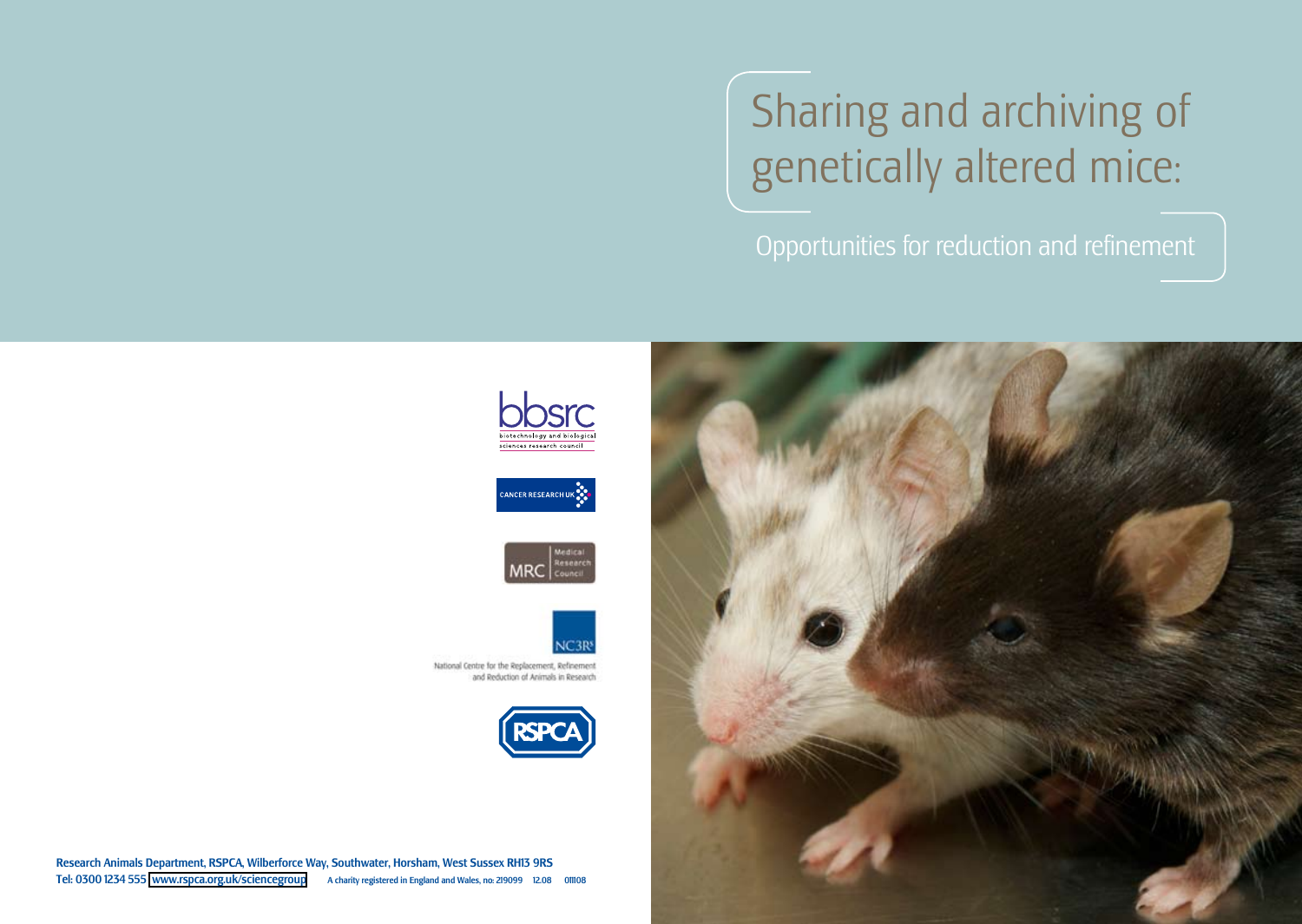# Sharing and archiving of genetically altered mice:

Opportunities for reduction and refinement











National Centre for the Replacement, Refinement and Reduction of Animals in Research



Research Animals Department, RSPCA, Wilberforce Way, Southwater, Horsham, West Sussex RH13 9RS Tel: 0300 1234 555 [www.rspca.org.uk/sciencegroup](http://www.rspca.org.uk/sciencegroup) A charity registered in England and Wales, no: 219099 12.08 011108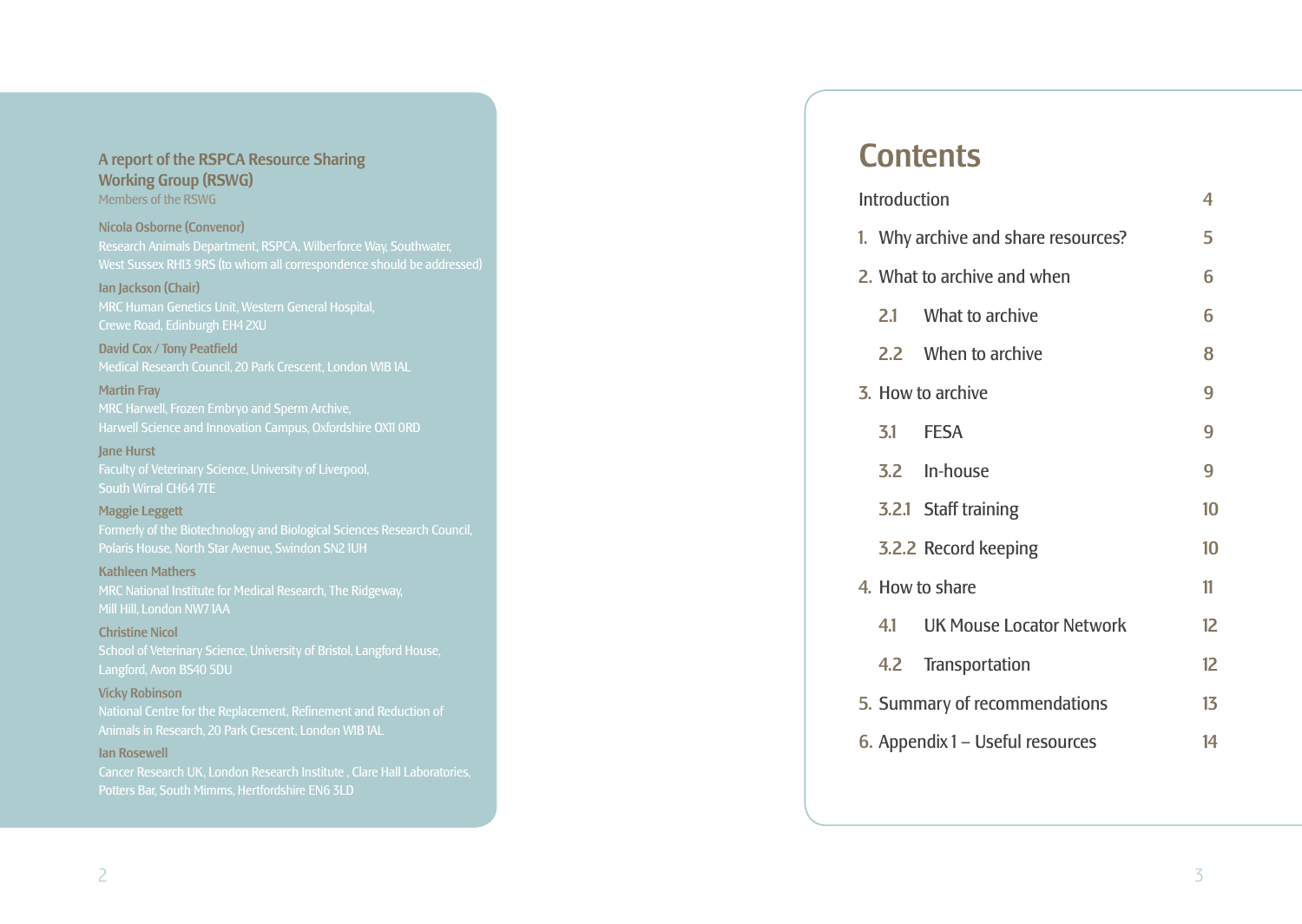## A report of the RSPCA Resource Sharing Working Group (RSWG)

Members of the RSWG

## Nicola Osborne (Convenor)

### Ian Jackson (Chair)

MRC Human Genetics Unit, Western General Hospital, Crewe Road, Edinburgh EH4 2XU

David Cox / Tony Peatfield Medical Research Council, 20 Park Crescent, London W1B 1AL

Martin Fray MRC Harwell, Frozen Embryo and Sperm Archive, Harwell Science and Innovation Campus, Oxfordshire OX11 0RD

Jane Hurst Faculty of Veterinary Science, University of Liverpool, South Wirral CH64 7TE

## Maggie Leggett

Formerly of the Biotechnology and Biological Sciences Research Council, Polaris House, North Star Avenue, Swindon SN2 1UH

## Kathleen Mathers

Mill Hill, London NW7 1AA

## Christine Nicol

School of Veterinary Science, University of Bristol, Langford House, Langford, Avon BS40 5DU

## Vicky Robinson

National Centre for the Replacement, Refinement and Reduction of Animals in Research, 20 Park Crescent, London W1B 1AL

## Ian Rosewell

Cancer Research UK, London Research Institute , Clare Hall Laboratories, Potters Bar, South Mimms, Hertfordshire EN6 3LD

## **Contents**

|                                  | <b>Introduction</b>           | 4                                   |    |
|----------------------------------|-------------------------------|-------------------------------------|----|
|                                  |                               | 1. Why archive and share resources? | 5  |
|                                  |                               | 2. What to archive and when         | 6  |
|                                  | 2.1                           | What to archive                     | 6  |
|                                  |                               | 2.2 When to archive                 | 8  |
|                                  | 3. How to archive             |                                     |    |
|                                  |                               | 3.1 FESA                            | 9  |
|                                  |                               | 3.2 In-house                        | 9  |
|                                  |                               | 3.2.1 Staff training                | 10 |
|                                  |                               | 3.2.2 Record keeping                | 10 |
|                                  | 4. How to share               |                                     |    |
|                                  | 41                            | UK Mouse Locator Network            | 12 |
|                                  |                               | 4.2 Transportation                  | 12 |
|                                  | 5. Summary of recommendations |                                     |    |
| 6. Appendix 1 - Useful resources |                               |                                     | 14 |
|                                  |                               |                                     |    |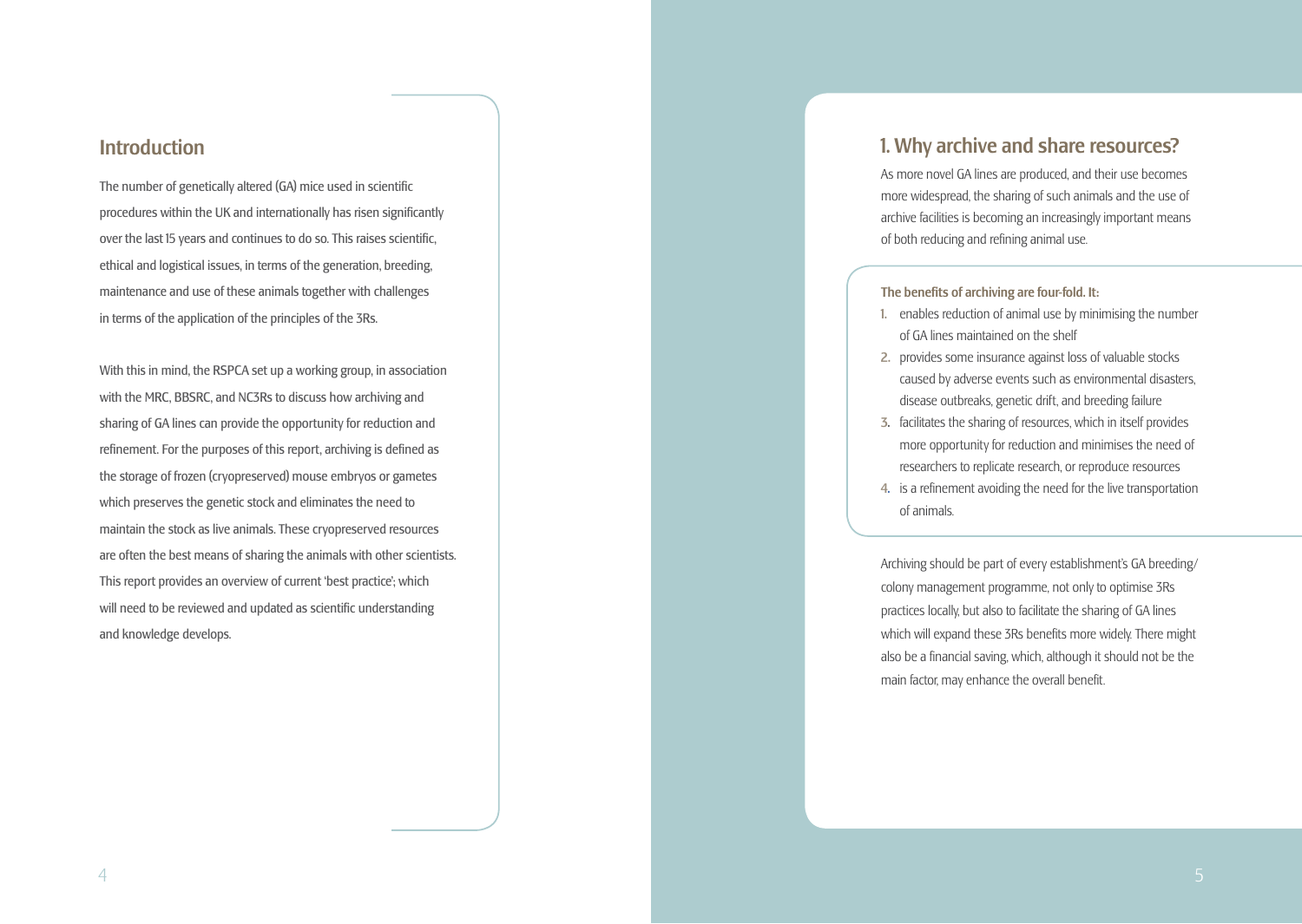## **Introduction**

The number of genetically altered (GA) mice used in scientific procedures within the UK and internationally has risen significantly over the last 15 years and continues to do so. This raises scientific, ethical and logistical issues, in terms of the generation, breeding, maintenance and use of these animals together with challenges in terms of the application of the principles of the 3Rs.

With this in mind, the RSPCA set up a working group, in association with the MRC, BBSRC, and NC3Rs to discuss how archiving and sharing of GA lines can provide the opportunity for reduction and refinement. For the purposes of this report, archiving is defined as the storage of frozen (cryopreserved) mouse embryos or gametes which preserves the genetic stock and eliminates the need to maintain the stock as live animals. These cryopreserved resources are often the best means of sharing the animals with other scientists. This report provides an overview of current 'best practice'; which will need to be reviewed and updated as scientific understanding and knowledge develops.

## 1. Why archive and share resources?

As more novel GA lines are produced, and their use becomes more widespread, the sharing of such animals and the use of archive facilities is becoming an increasingly important means of both reducing and refining animal use.

#### The benefits of archiving are four-fold. It:

- 1. enables reduction of animal use by minimising the number of GA lines maintained on the shelf
- 2. provides some insurance against loss of valuable stocks caused by adverse events such as environmental disasters, disease outbreaks, genetic drift, and breeding failure
- 3. facilitates the sharing of resources, which in itself provides more opportunity for reduction and minimises the need of researchers to replicate research, or reproduce resources
- 4. is a refinement avoiding the need for the live transportation of animals.

Archiving should be part of every establishment's GA breeding/ colony management programme, not only to optimise 3Rs practices locally, but also to facilitate the sharing of GA lines which will expand these 3Rs benefits more widely. There might also be a financial saving, which, although it should not be the main factor, may enhance the overall benefit.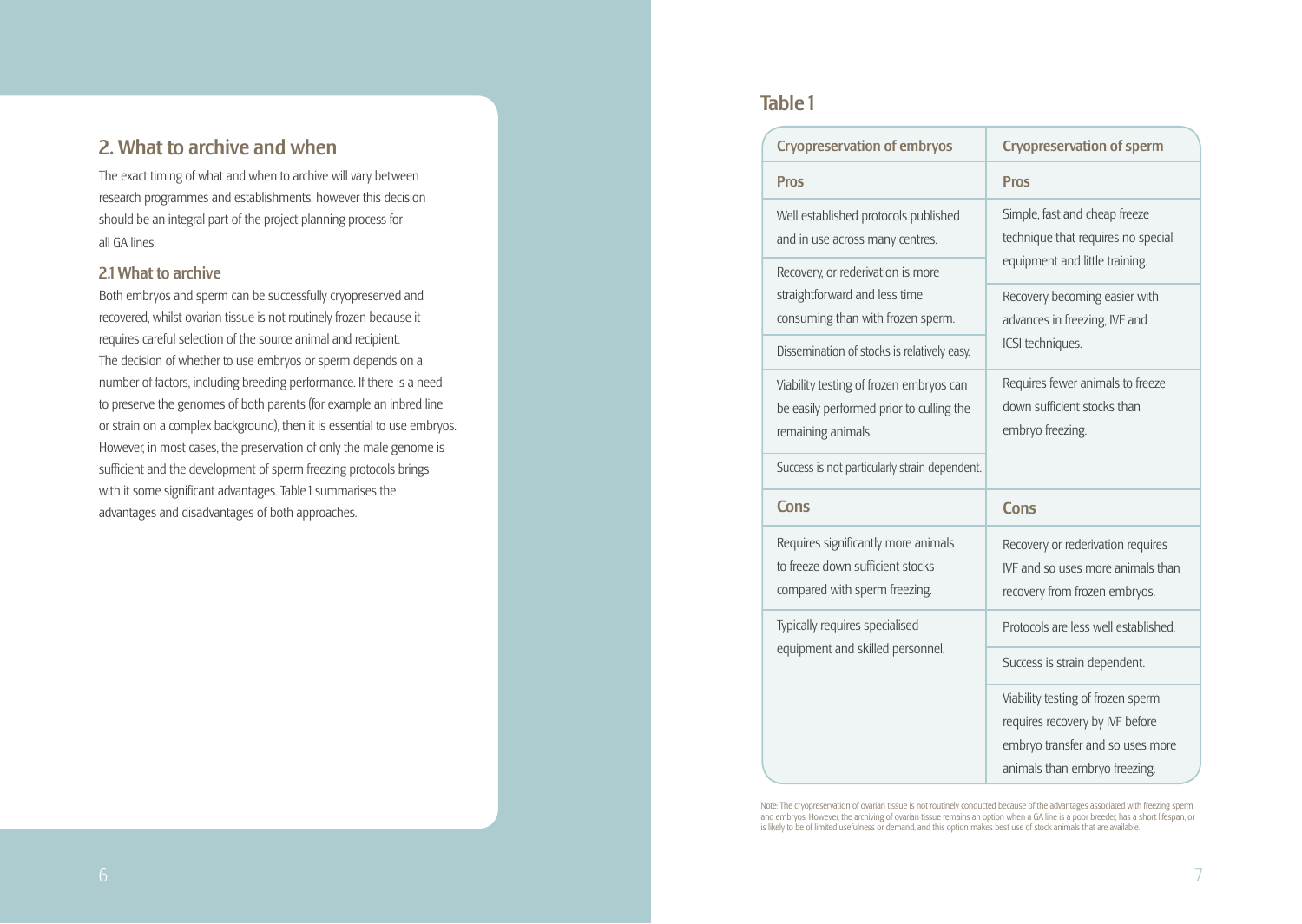## 2. What to archive and when

The exact timing of what and when to archive will vary between research programmes and establishments, however this decision should be an integral part of the project planning process for all GA lines.

## 2.1 What to archive

Both embryos and sperm can be successfully cryopreserved and recovered, whilst ovarian tissue is not routinely frozen because it requires careful selection of the source animal and recipient. The decision of whether to use embryos or sperm depends on a number of factors, including breeding performance. If there is a need to preserve the genomes of both parents (for example an inbred line or strain on a complex background), then it is essential to use embryos. However, in most cases, the preservation of only the male genome is sufficient and the development of sperm freezing protocols brings with it some significant advantages. Table 1 summarises the advantages and disadvantages of both approaches.

## Table 1

| <b>Cryopreservation of embryos</b>                                                                                | <b>Cryopreservation of sperm</b>                                                                                                          |  |
|-------------------------------------------------------------------------------------------------------------------|-------------------------------------------------------------------------------------------------------------------------------------------|--|
| <b>Pros</b>                                                                                                       | <b>Pros</b>                                                                                                                               |  |
| Well established protocols published<br>and in use across many centres.<br>Recovery, or rederivation is more      | Simple, fast and cheap freeze<br>technique that requires no special<br>equipment and little training.                                     |  |
| straightforward and less time<br>consuming than with frozen sperm.<br>Dissemination of stocks is relatively easy. | Recovery becoming easier with<br>advances in freezing, IVF and<br>ICSI techniques.                                                        |  |
| Viability testing of frozen embryos can<br>be easily performed prior to culling the<br>remaining animals.         | Requires fewer animals to freeze<br>down sufficient stocks than<br>embryo freezing.                                                       |  |
| Success is not particularly strain dependent.                                                                     |                                                                                                                                           |  |
| <b>Cons</b>                                                                                                       | <b>Cons</b>                                                                                                                               |  |
| Requires significantly more animals<br>to freeze down sufficient stocks<br>compared with sperm freezing.          | Recovery or rederivation requires<br>IVF and so uses more animals than<br>recovery from frozen embryos.                                   |  |
| Typically requires specialised<br>equipment and skilled personnel.                                                | Protocols are less well established.                                                                                                      |  |
|                                                                                                                   | Success is strain dependent.                                                                                                              |  |
|                                                                                                                   | Viability testing of frozen sperm<br>requires recovery by IVF before<br>embryo transfer and so uses more<br>animals than embryo freezing. |  |

Note: The cryopreservation of ovarian tissue is not routinely conducted because of the advantages associated with freezing sperm and embryos. However, the archiving of ovarian tissue remains an option when a GA line is a poor breeder, has a short lifespan, or is likely to be of limited usefulness or demand, and this option makes best use of stock animals that are available.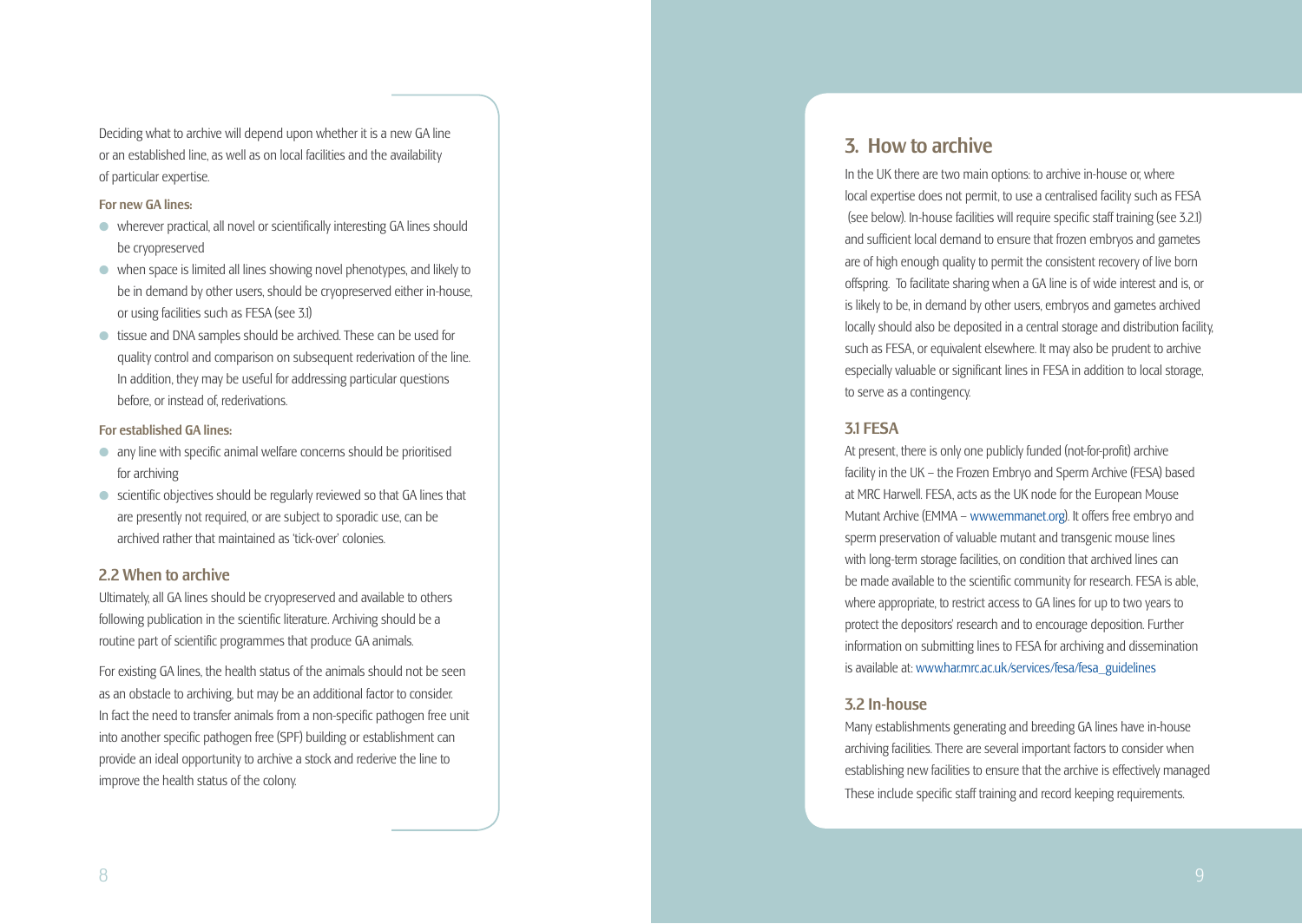Deciding what to archive will depend upon whether it is a new GA line or an established line, as well as on local facilities and the availability of particular expertise.

#### For new GA lines:

- $\bullet$  wherever practical, all novel or scientifically interesting GA lines should be cryopreserved
- $\bullet$  when space is limited all lines showing novel phenotypes, and likely to be in demand by other users, should be cryopreserved either in-house, or using facilities such as FESA (see 3.1)
- $\bullet$  tissue and DNA samples should be archived. These can be used for quality control and comparison on subsequent rederivation of the line. In addition, they may be useful for addressing particular questions before, or instead of, rederivations.

### For established GA lines:

- $\bullet$  any line with specific animal welfare concerns should be prioritised for archiving
- $\bullet$  scientific objectives should be regularly reviewed so that GA lines that are presently not required, or are subject to sporadic use, can be archived rather that maintained as 'tick-over' colonies.

## 2.2 When to archive

Ultimately, all GA lines should be cryopreserved and available to others following publication in the scientific literature. Archiving should be a routine part of scientific programmes that produce GA animals.

For existing GA lines, the health status of the animals should not be seen as an obstacle to archiving, but may be an additional factor to consider. In fact the need to transfer animals from a non-specific pathogen free unit into another specific pathogen free (SPF) building or establishment can provide an ideal opportunity to archive a stock and rederive the line to improve the health status of the colony.

## 3. How to archive

In the UK there are two main options: to archive in-house or, where local expertise does not permit, to use a centralised facility such as FESA (see below). In-house facilities will require specific staff training (see 3.2.1) and sufficient local demand to ensure that frozen embryos and gametes are of high enough quality to permit the consistent recovery of live born offspring. To facilitate sharing when a GA line is of wide interest and is, or is likely to be, in demand by other users, embryos and gametes archived locally should also be deposited in a central storage and distribution facility, such as FESA, or equivalent elsewhere. It may also be prudent to archive especially valuable or significant lines in FESA in addition to local storage, to serve as a contingency.

## 3.1 FESA

At present, there is only one publicly funded (not-for-profit) archive facility in the UK – the Frozen Embryo and Sperm Archive (FESA) based at MRC Harwell. FESA, acts as the UK node for the European Mouse Mutant Archive (EMMA – [www.emmanet.or](www.emmanet.org) g). It offers free embryo and sperm preservation of valuable mutant and transgenic mouse lines with long-term storage facilities, on condition that archived lines can be made available to the scientific community for research. FESA is able, where appropriate, to restrict access to GA lines for up to two years to protect the depositors' research and to encourage deposition. Further information on submitting lines to FESA for archiving and dissemination is available at: [www.har.mrc.ac.uk/services/fesa/fesa\\_guideline](http://www.har.mrc.ac.uk/services/fesa/fesa_guidelines) s

## 3.2 In-house

Many establishments generating and breeding GA lines have in-house archiving facilities. There are several important factors to consider when establishing new facilities to ensure that the archive is effectively managed These include specific staff training and record keeping requirements.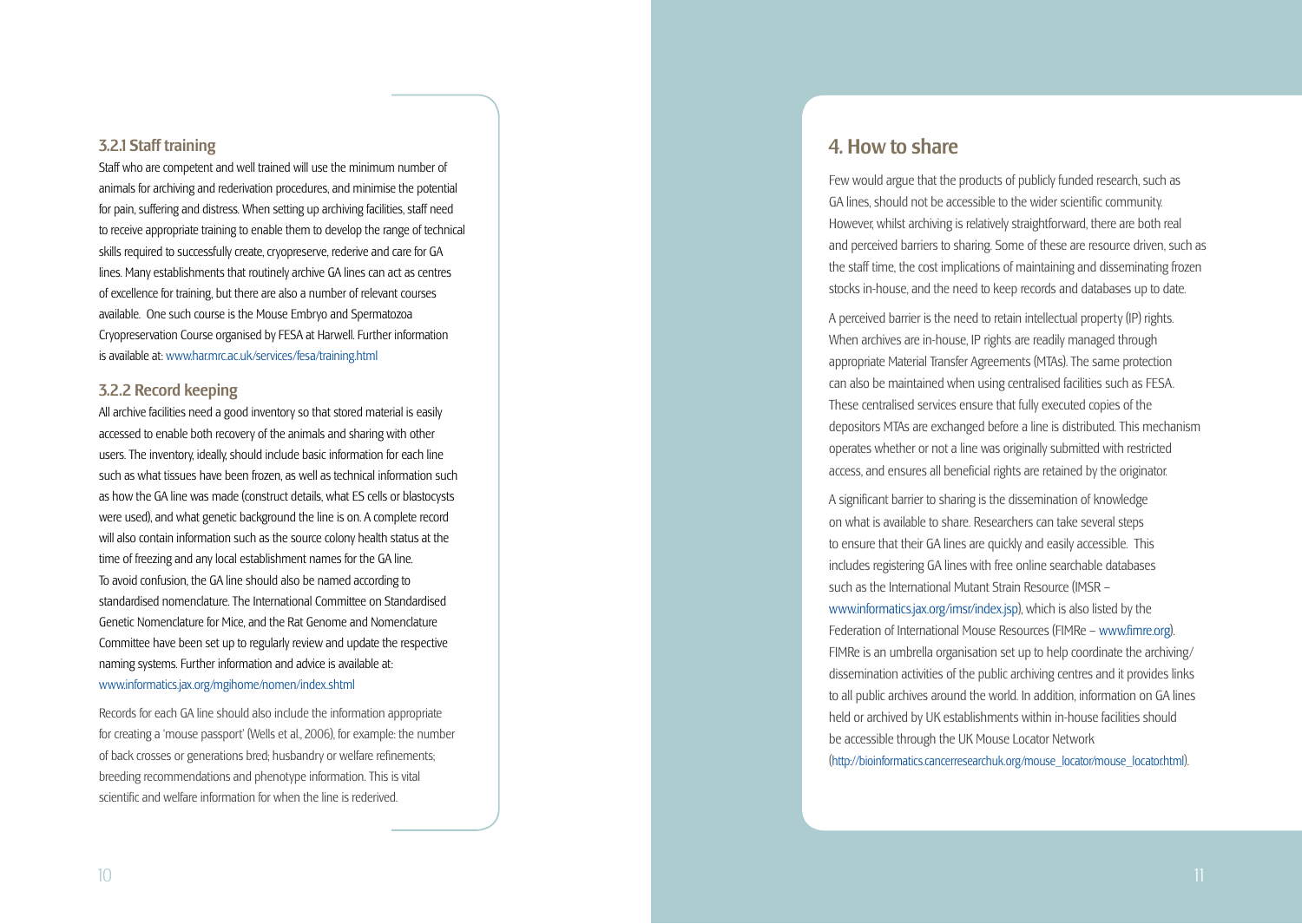## 3.2.1 Staff training

Staff who are competent and well trained will use the minimum number of animals for archiving and rederivation procedures, and minimise the potential for pain, suffering and distress. When setting up archiving facilities, staff need to receive appropriate training to enable them to develop the range of technical skills required to successfully create, cryopreserve, rederive and care for GA lines. Many establishments that routinely archive GA lines can act as centres of excellence for training, but there are also a number of relevant courses available. One such course is the Mouse Embryo and Spermatozoa Cryopreservation Course organised by FESA at Harwell. Further information is available at: [www.har.mrc.ac.uk/services/fesa/training.htm](www.har.mrc.ac.uk/services/fesa/training.html) l

## 3.2.2 Record keeping

All archive facilities need a good inventory so that stored material is easily accessed to enable both recovery of the animals and sharing with other users. The inventory, ideally, should include basic information for each line such as what tissues have been frozen, as well as technical information such as how the GA line was made (construct details, what ES cells or blastocysts were used), and what genetic background the line is on. A complete record will also contain information such as the source colony health status at the time of freezing and any local establishment names for the GA line. To avoid confusion, the GA line should also be named according to standardised nomenclature. The International Committee on Standardised Genetic Nomenclature for Mice, and the Rat Genome and Nomenclature Committee have been set up to regularly review and update the respective naming systems. Further information and advice is available at: [www.informatics.jax.org/mgihome/nomen/index.shtm](www.informatics.jax.org/mgihome/nomen/index.shtml) l

Records for each GA line should also include the information appropriate for creating a 'mouse passport' (Wells et al., 2006), for example: the number of back crosses or generations bred; husbandry or welfare refinements; breeding recommendations and phenotype information. This is vital scientific and welfare information for when the line is rederived.

## 4. How to share

Few would argue that the products of publicly funded research, such as GA lines, should not be accessible to the wider scientific community. However, whilst archiving is relatively straightforward, there are both real and perceived barriers to sharing. Some of these are resource driven, such as the staff time, the cost implications of maintaining and disseminating frozen stocks in-house, and the need to keep records and databases up to date.

A perceived barrier is the need to retain intellectual property (IP) rights. When archives are in-house, IP rights are readily managed through appropriate Material Transfer Agreements (MTAs). The same protection can also be maintained when using centralised facilities such as FESA. These centralised services ensure that fully executed copies of the depositors MTAs are exchanged before a line is distributed. This mechanism operates whether or not a line was originally submitted with restricted access, and ensures all beneficial rights are retained by the originator.

A significant barrier to sharing is the dissemination of knowledge on what is available to share. Researchers can take several steps to ensure that their GA lines are quickly and easily accessible. This includes registering GA lines with free online searchable databases such as the International Mutant Strain Resource (IMSR –

[www.informatics.jax.org/imsr/index.js](www.informatics.jax.org/imsr/index.jsp) p), which is also listed by the Federation of International Mouse Resources (FIMRe – www.fimre.org). FIMRe is an umbrella organisation set up to help coordinate the archiving/ dissemination activities of the public archiving centres and it provides links to all public archives around the world. In addition, information on GA lines held or archived by UK establishments within in-house facilities should be accessible through the UK Mouse Locator Network<br>[\(http://bioinformatics.cancerresearchuk.org/mouse\\_locator/mouse\\_locator.htm](http://bioinformatics.cancerresearchuk.org/mouse_locator/mouse_locator.html)l)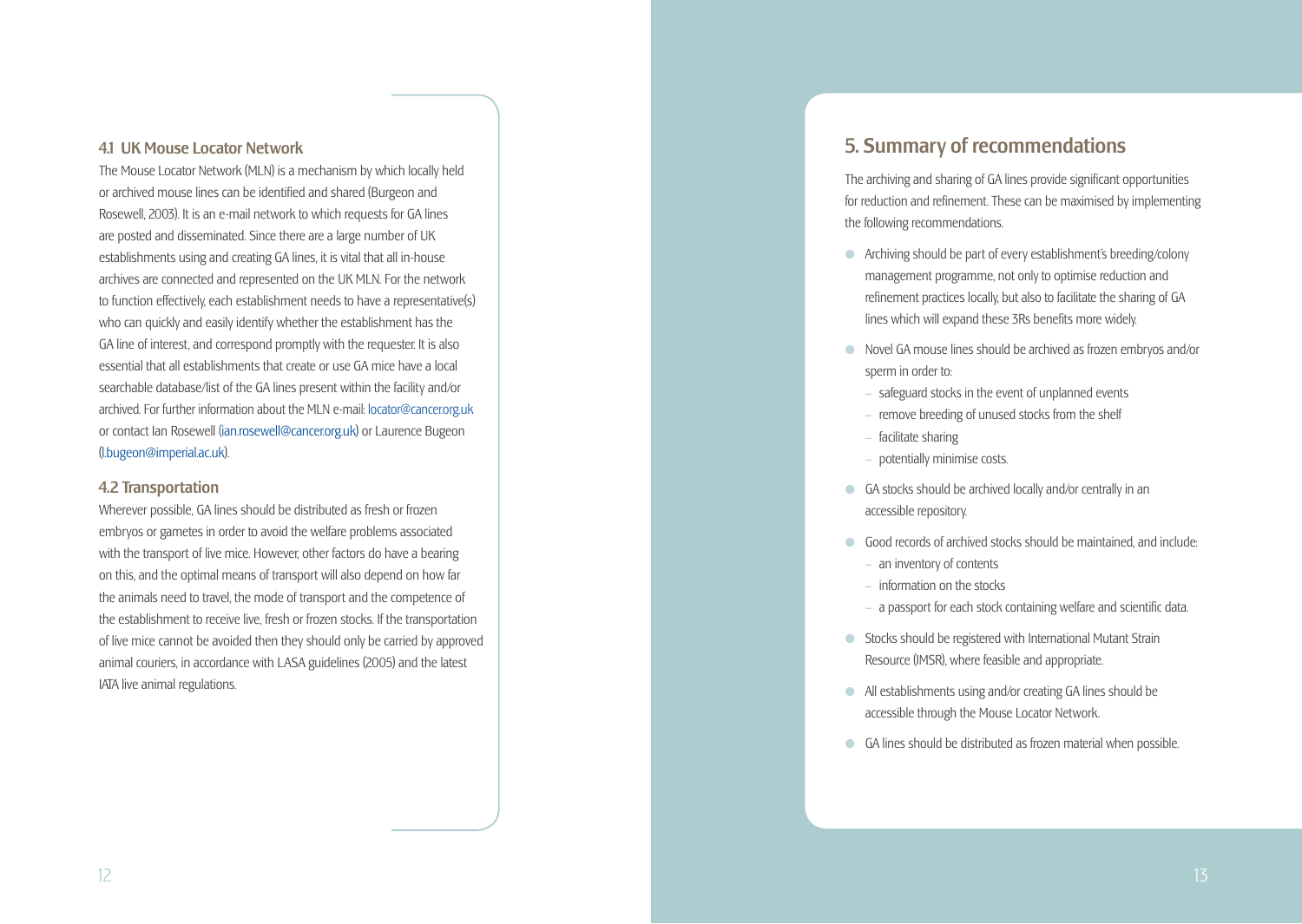## 4.1 UK Mouse Locator Network

The Mouse Locator Network (MLN) is a mechanism by which locally held or archived mouse lines can be identified and shared (Burgeon and Rosewell, 2003). It is an e-mail network to which requests for GA lines are posted and disseminated. Since there are a large number of UK establishments using and creating GA lines, it is vital that all in-house archives are connected and represented on the UK MLN. For the network to function effectively, each establishment needs to have a representative(s) who can quickly and easily identify whether the establishment has the GA line of interest, and correspond promptly with the requester. It is also essential that all establishments that create or use GA mice have a local searchable database/list of the GA lines present within the facility and/or archived. For further information about the MLN e-mail: locator@cancer.org.uk or contact Ian Rosewell (ian.rosewell@cancer.org.uk) or Laurence Bugeon (l.bugeon@imperial.ac.uk).

## 4.2 Transportation

Wherever possible, GA lines should be distributed as fresh or frozen embryos or gametes in order to avoid the welfare problems associated with the transport of live mice. However, other factors do have a bearing on this, and the optimal means of transport will also depend on how far the animals need to travel, the mode of transport and the competence of the establishment to receive live, fresh or frozen stocks. If the transportation of live mice cannot be avoided then they should only be carried by approved animal couriers, in accordance with LASA guidelines (2005) and the latest IATA live animal regulations.

## 5. Summary of recommendations

The archiving and sharing of GA lines provide significant opportunities for reduction and refinement. These can be maximised by implementing the following recommendations.

- $\bullet$  Archiving should be part of every establishment's breeding/colony management programme, not only to optimise reduction and refinement practices locally, but also to facilitate the sharing of GA lines which will expand these 3Rs benefits more widely.
- **In Novel GA mouse lines should be archived as frozen embryos and/or** sperm in order to:
	- **–** safeguard stocks in the event of unplanned events
	- remove breeding of unused stocks from the shelf
	- facilitate sharing
	- potentially minimise costs.
- **C** GA stocks should be archived locally and/or centrally in an accessible repository.
- l Good records of archived stocks should be maintained, and include:
	- an inventory of contents
	- information on the stocks
	- a passport for each stock containing welfare and scientific data.
- **C** Stocks should be registered with International Mutant Strain Resource (IMSR), where feasible and appropriate.
- **a** All establishments using and/or creating GA lines should be accessible through the Mouse Locator Network.
- **GA lines should be distributed as frozen material when possible.**